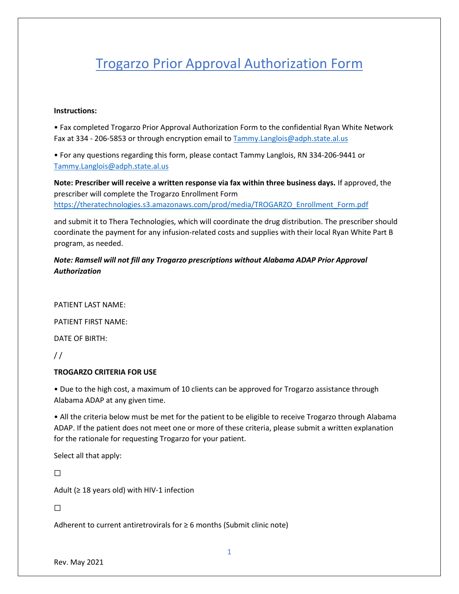# Trogarzo Prior Approval Authorization Form

#### **Instructions:**

• Fax completed Trogarzo Prior Approval Authorization Form to the confidential Ryan White Network Fax at 334 - 206-5853 or through encryption email to **Tammy.Langlois@adph.state.al.us** 

• For any questions regarding this form, please contact Tammy Langlois, RN 334-206-9441 or [Tammy.Langlois@adph.state.al.us](mailto:Tammy.Langlois@adph.state.al.us)

**Note: Prescriber will receive a written response via fax within three business days.** If approved, the prescriber will complete the Trogarzo Enrollment Form [https://theratechnologies.s3.amazonaws.com/prod/media/TROGARZO\\_Enrollment\\_Form.pdf](https://theratechnologies.s3.amazonaws.com/prod/media/TROGARZO_Enrollment_Form.pdf)

and submit it to Thera Technologies, which will coordinate the drug distribution. The prescriber should coordinate the payment for any infusion-related costs and supplies with their local Ryan White Part B program, as needed.

*Note: Ramsell will not fill any Trogarzo prescriptions without Alabama ADAP Prior Approval Authorization*

PATIENT LAST NAME:

PATIENT FIRST NAME:

DATE OF BIRTH:

 $\frac{1}{2}$ 

### **TROGARZO CRITERIA FOR USE**

• Due to the high cost, a maximum of 10 clients can be approved for Trogarzo assistance through Alabama ADAP at any given time.

• All the criteria below must be met for the patient to be eligible to receive Trogarzo through Alabama ADAP. If the patient does not meet one or more of these criteria, please submit a written explanation for the rationale for requesting Trogarzo for your patient.

Select all that apply:

☐

Adult ( $\geq$  18 years old) with HIV-1 infection

 $\Box$ 

Adherent to current antiretrovirals for  $\geq 6$  months (Submit clinic note)

Rev. May 2021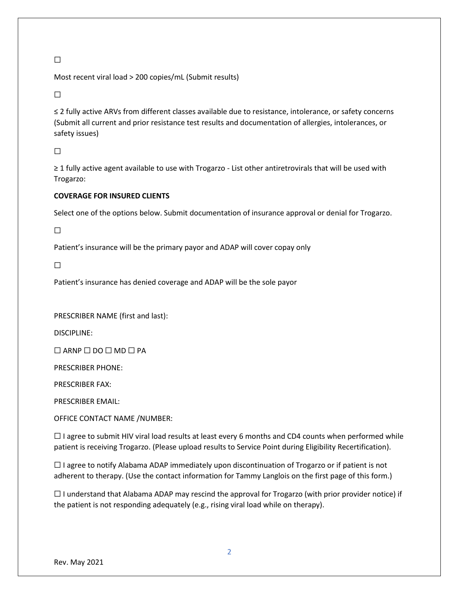## $\Box$

Most recent viral load > 200 copies/mL (Submit results)

☐

≤ 2 fully active ARVs from different classes available due to resistance, intolerance, or safety concerns (Submit all current and prior resistance test results and documentation of allergies, intolerances, or safety issues)

☐

≥ 1 fully active agent available to use with Trogarzo - List other antiretrovirals that will be used with Trogarzo:

## **COVERAGE FOR INSURED CLIENTS**

Select one of the options below. Submit documentation of insurance approval or denial for Trogarzo.

☐

Patient's insurance will be the primary payor and ADAP will cover copay only

☐

Patient's insurance has denied coverage and ADAP will be the sole payor

PRESCRIBER NAME (first and last):

DISCIPLINE:

 $\Box$  ARNP  $\Box$  DO  $\Box$  MD  $\Box$  PA

PRESCRIBER PHONE:

PRESCRIBER FAX:

PRESCRIBER EMAIL:

OFFICE CONTACT NAME /NUMBER:

 $\Box$  I agree to submit HIV viral load results at least every 6 months and CD4 counts when performed while patient is receiving Trogarzo. (Please upload results to Service Point during Eligibility Recertification).

☐ I agree to notify Alabama ADAP immediately upon discontinuation of Trogarzo or if patient is not adherent to therapy. (Use the contact information for Tammy Langlois on the first page of this form.)

 $\Box$  I understand that Alabama ADAP may rescind the approval for Trogarzo (with prior provider notice) if the patient is not responding adequately (e.g., rising viral load while on therapy).